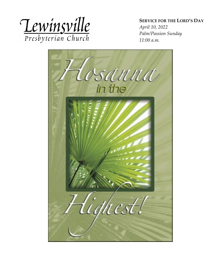

**SERVICE FOR THE LORD'S DAY** 

*April 10, 2022 Palm/Passion Sunday 11:00 a.m.*

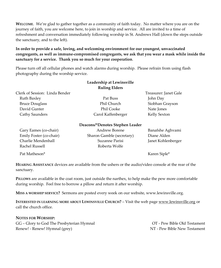**WELCOME**. We're glad to gather together as a community of faith today. No matter where you are on the journey of faith, you are welcome here, to join in worship and service. All are invited to a time of refreshment and conversation immediately following worship in St. Andrews Hall (down the steps outside the sanctuary, and to the left).

#### **In order to provide a safe, loving, and welcoming environment for our youngest, unvaccinated congregants, as well as immune-compromised congregants, we ask that you wear a mask while inside the sanctuary for a service. Thank you so much for your cooperation**.

Please turn off all cellular phones and watch alarms during worship. Please refrain from using flash photography during the worship service.

|                                | Leadership at Lewinsville<br><b>Ruling Elders</b> |                       |
|--------------------------------|---------------------------------------------------|-----------------------|
| Clerk of Session: Linda Bender |                                                   | Treasurer: Janet Gale |
| Ruth Baxley                    | Pat Buss                                          | John Day              |
| <b>Bruce Douglass</b>          | Phil Church                                       | Siobhan Grayson       |
| David Gunter                   | Phil Cooke                                        | Nate Jones            |
| Cathy Saunders                 | Carol Kaffenberger                                | Kelly Sexton          |
|                                |                                                   |                       |

#### **Deacons/\*Denotes Stephen Leader**

| Gary Eames (co-chair)   | Andrew Borene             | Banafshe Aghvami   |
|-------------------------|---------------------------|--------------------|
| Emily Foster (co-chair) | Sharon Gamble (secretary) | Diane Alden        |
| Charlie Mendenhall      | Suzanne Parisi            | Janet Kohlenberger |
| Rachel Russell          | Roberta Wolfe             |                    |
|                         |                           |                    |

Pat Matheson\* Karen Siple\*

**HEARING ASSISTANCE** devices are available from the ushers or the audio/video console at the rear of the sanctuary.

**PILLOWS** are available in the coat room, just outside the narthex, to help make the pew more comfortable during worship. Feel free to borrow a pillow and return it after worship.

**MISS A WORSHIP SERVICE?** Sermons are posted every week on our website, www.lewinsville.org.

**INTERESTED IN LEARNING MORE ABOUT LEWINSVILLE CHURCH?** – Visit the web page [www.lewinsville.org](http://www.lewinsville.org/) or call the church office.

**NOTES FOR WORSHIP:** 

GG – Glory to God The Presbyterian Hymnal **OT** - Pew Bible Old Testament Renew! - Renew! Hymnal (grey) NT - Pew Bible New Testament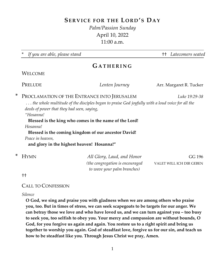## **SERVICE FOR THE LORD'S DAY**

*Palm/Passion Sunday* April 10, 2022 11:00 a.m.

\* *If you are able, please stand* †† *Latecomers seated*

## **G ATHERING**

**WELCOME** 

PRELUDE *Lenten Journey* Arr. Margaret R. Tucker

\* PROCLAMATION OF THE ENTRANCE INTO JERUSALEM *Luke 19:29-38*

*. . . the whole multitude of the disciples began to praise God joyfully with a loud voice for all the deeds of power that they had seen, saying,*

*"Hosanna!* 

#### **Blessed is the king who comes in the name of the Lord!**

*Hosanna!*

**Blessed is the coming kingdom of our ancestor David!**

*Peace in heaven,*

**and glory in the highest heaven! Hosanna!"**

| * Hymn | All Glory, Laud, and Honor       | GG 196                   |
|--------|----------------------------------|--------------------------|
|        | (the congregation is encouraged) | VALET WILL ICH DIR GEBEN |
|        | to wave your palm branches)      |                          |

††

#### CALL TO CONFESSION

#### *Silence*

**O God, we sing and praise you with gladness when we are among others who praise you, too. But in times of stress, we can seek scapegoats to be targets for our anger. We can betray those we love and who have loved us, and we can turn against you – too busy to seek you, too selfish to obey you. Your mercy and compassion are without bounds, O God, for you forgive us again and again. You restore us to a right spirit and bring us together to worship you again. God of steadfast love, forgive us for our sin, and teach us how to be steadfast like you. Through Jesus Christ we pray, Amen.**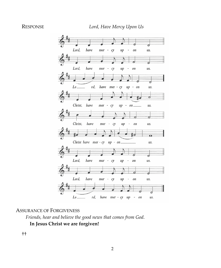

#### ASSURANCE OF FORGIVENESS

*Friends, hear and believe the good news that comes from God.* **In Jesus Christ we are forgiven!**

††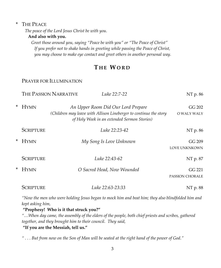#### \* THE PEACE

*The peace of the Lord Jesus Christ be with you.*

#### **And also with you.**

*Greet those around you, saying "Peace be with you" or "The Peace of Christ" If you prefer not to shake hands in greeting while passing the Peace of Christ, you may choose to make eye contact and greet others in another personal way.*

## **T HE WORD**

#### PRAYER FOR ILLUMINATION

|   |                  | THE PASSION NARRATIVE<br>Luke 22:7-22                                                                            | NT p. 86                         |
|---|------------------|------------------------------------------------------------------------------------------------------------------|----------------------------------|
| × | <b>HYMN</b>      | An Upper Room Did Our Lord Prepare                                                                               | GG 202                           |
|   |                  | (Children may leave with Allison Lineberger to continue the story<br>of Holy Week in an extended Sermon Stories) | O WALY WALY                      |
|   | <b>SCRIPTURE</b> | Luke 22:23-42                                                                                                    | NT p. 86                         |
| × | <b>HYMN</b>      | My Song Is Love Unknown                                                                                          | GG 209<br>LOVE UNKNKOWN          |
|   | <b>SCRIPTURE</b> | Luke 22:43-62                                                                                                    | NT p. 87                         |
| × | <b>HYMN</b>      | O Sacred Head, Now Wounded                                                                                       | GG 221<br><b>PASSION CHORALE</b> |
|   | <b>SCRIPTURE</b> | Luke 22:63-23:33                                                                                                 | NT p. 88                         |

*"Now the men who were holding Jesus began to mock him and beat him; they also blindfolded him and kept asking him,* 

#### **"Prophesy! Who is it that struck you?"**

*"…When day came, the assembly of the elders of the people, both chief priests and scribes, gathered together, and they brought him to their council. They said,* 

#### **"If you are the Messiah, tell us."**

*" . . . But from now on the Son of Man will be seated at the right hand of the power of God."*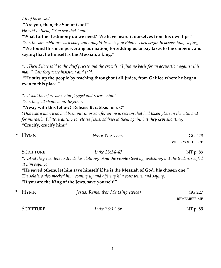*All of them said,* 

**"Are you, then, the Son of God?"**

*He said to them, "You say that I am."*

*"***What further testimony do we need? We have heard it ourselves from his own lips!"** *Then the assembly rose as a body and brought Jesus before Pilate. They began to accuse him, saying,* **"We found this man perverting our nation, forbidding us to pay taxes to the emperor, and saying that he himself is the Messiah, a king."**

*"…Then Pilate said to the chief priests and the crowds, "I find no basis for an accusation against this man." But they were insistent and said,* 

**"He stirs up the people by teaching throughout all Judea, from Galilee where he began even to this place."**

*"…I will therefore have him flogged and release him."*

*Then they all shouted out together,*

*"***Away with this fellow! Release Barabbas for us!"**

*(This was a man who had been put in prison for an insurrection that had taken place in the city, and for murder). Pilate, wanting to release Jesus, addressed them again; but they kept shouting,* **"Crucify, crucify him!"**

| * Hymn           | Were You There                                                                                                                                                                                                                                                                                                                                                                                                                                                                                                                          | GG 228         |
|------------------|-----------------------------------------------------------------------------------------------------------------------------------------------------------------------------------------------------------------------------------------------------------------------------------------------------------------------------------------------------------------------------------------------------------------------------------------------------------------------------------------------------------------------------------------|----------------|
|                  |                                                                                                                                                                                                                                                                                                                                                                                                                                                                                                                                         | WERE YOU THERE |
| <b>SCRIPTURE</b> | Luke 23:34-43                                                                                                                                                                                                                                                                                                                                                                                                                                                                                                                           | NT p. 89       |
|                  | "And they cast lots to divide his clothing. And the people stood by, watching; but the leaders scoffed                                                                                                                                                                                                                                                                                                                                                                                                                                  |                |
| at him saying:   |                                                                                                                                                                                                                                                                                                                                                                                                                                                                                                                                         |                |
|                  | "He saved others, let him save himself if he is the Messiah of God, his chosen one!"                                                                                                                                                                                                                                                                                                                                                                                                                                                    |                |
|                  | The soldiers also mocked him, coming up and offering him sour wine, and saying,                                                                                                                                                                                                                                                                                                                                                                                                                                                         |                |
|                  | $\mu$ <sub>If</sub> $\mu$ <sub>2</sub> $\mu$ <sub>2</sub> $\mu$ <sub>2</sub> $\mu$ <sub>2</sub> $\mu$ <sub>2</sub> $\mu$ <sub>2</sub> $\mu$ <sub>2</sub> $\mu$ <sub>2</sub> $\mu$ <sub>2</sub> $\mu$ <sub>2</sub> $\mu$ <sub>2</sub> $\mu$ <sub>2</sub> $\mu$ <sub>2</sub> $\mu$ <sub>2</sub> $\mu$ <sub>2</sub> $\mu$ <sub>2</sub> $\mu$ <sub>2</sub> $\mu$ <sub>2</sub> $\mu$ <sub>2</sub> $\mu$ <sub>2</sub> $\mu$ <sub>2</sub> $\mu$ <sub>2</sub> $\mu$ <sub>2</sub> $\mu$ <sub>2</sub> $\mu$ <sub>2</sub> $\mu$ <sub>2</sub> $\mu$ |                |

**"If you are the King of the Jews, save yourself!"**

| $*$ HYMN  | Jesus, Remember Me (sing twice) | GG 227      |
|-----------|---------------------------------|-------------|
|           |                                 | REMEMBER ME |
| SCRIPTURE | Luke 23:44-56                   | NT p. 89    |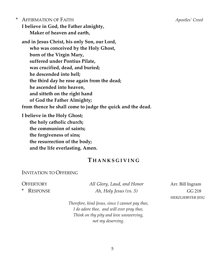\* AFFIRMATION OF FAITH *Apostles' Creed* **I believe in God, the Father almighty, Maker of heaven and earth,**

**and in Jesus Christ, his only Son, our Lord, who was conceived by the Holy Ghost, born of the Virgin Mary, suffered under Pontius Pilate, was crucified, dead, and buried; he descended into hell; the third day he rose again from the dead; he ascended into heaven, and sitteth on the right hand of God the Father Almighty; from thence he shall come to judge the quick and the dead.**

**I believe in the Holy Ghost; the holy catholic church; the communion of saints; the forgiveness of sins; the resurrection of the body; and the life everlasting. Amen.**

## **T HANKSGIVING**

#### INVITATION TO OFFERING

OFFERTORY *All Glory, Laud, and Honor* Arr. Bill Ingram \* RESPONSE *Ah, Holy Jesus (vs. 5)* GG 218

HERZLIEBSTER JESU

*Therefore, kind Jesus, since I cannot pay thee, I do adore thee, and will ever pray thee, Think on thy pity and love unswerving, not my deserving.*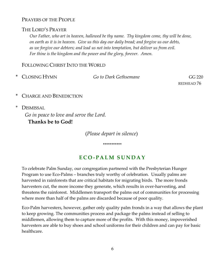### PRAYERS OF THE PEOPLE

#### THE LORD'S PRAYER

*Our Father, who art in heaven, hallowed be thy name. Thy kingdom come, thy will be done, on earth as it is in heaven. Give us this day our daily bread; and forgive us our debts, as we forgive our debtors; and lead us not into temptation, but deliver us from evil. For thine is the kingdom and the power and the glory, forever. Amen.*

### FOLLOWING CHRIST INTO THE WORLD

| * CLOSING HYMN | Go to Dark Gethsemane | GG 220     |
|----------------|-----------------------|------------|
|                |                       | REDHEAD 76 |

- CHARGE AND BENEDICTION
- *\** DISMISSAL

*Go in peace to love and serve the Lord.* **Thanks be to God!**

(*Please depart in silence*)

\*\*\*\*\*\*\*\*\*

## **ECO - PALM SUNDAY**

To celebrate Palm Sunday, our congregation partnered with the Presbyterian Hunger Program to use Eco-Palms – branches truly worthy of celebration. Usually palms are harvested in rainforests that are critical habitats for migrating birds. The more fronds harvesters cut, the more income they generate, which results in over-harvesting, and threatens the rainforest. Middlemen transport the palms out of communities for processing where more than half of the palms are discarded because of poor quality.

Eco-Palm harvesters, however, gather only quality palm fronds in a way that allows the plant to keep growing. The communities process and package the palms instead of selling to middlemen, allowing them to capture more of the profits. With this money, impoverished harvesters are able to buy shoes and school uniforms for their children and can pay for basic healthcare.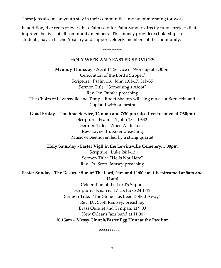These jobs also mean youth stay in their communities instead of migrating for work.

In addition, five cents of every Eco-Palm sold for Palm Sunday directly funds projects that improve the lives of all community members. This money provides scholarships for students, pays a teacher's salary and supports elderly members of the community.

#### **HOLY WEEK AND EASTER SERVICES**

\*\*\*\*\*\*\*\*\*\*\*

**Maundy Thursday** - April 14 Service of Worship at 7:30pm Celebration of the Lord's Supper/ Scripture: Psalm 116; John 13:1-17, 31b-35 Sermon Title: "Something's Afoot" Rev. Jen Dunfee preaching The Choirs of Lewinsville and Temple Rodef Shalom will sing music of Bernstein and Copland with orchestra

**Good Friday - Tenebrae Service, 12 noon and 7:30 pm (also livestreamed at 7:30pm)**

Scripture: Psalm 22; John 18:1-19:42 Sermon Title: "When All Is Lost" Rev. Layne Brubaker preaching Music of Beethoven led by a string quartet

**Holy Saturday - Easter Vigil in the Lewinsville Cemetery, 5:00pm**

Scripture: Luke 24:1-12 Sermon Title: "He Is Not Here" Rev. Dr. Scott Ramsey preaching

**Easter Sunday - The Resurrection of The Lord, 9am and 11:00 am, (livestreamed at 9am and 11am)**

> Celebration of the Lord's Supper Scripture: Isaiah 65:17-25; Luke 24:1-12 Sermon Title: "The Stone Has Been Rolled Away" Rev. Dr. Scott Ramsey, preaching Brass Quintet and Tympani at 9:00 New Orleans Jazz band at 11:00 **10:15am – Messy Church/Easter Egg Hunt at the Pavilion**

> > \*\*\*\*\*\*\*\*\*\*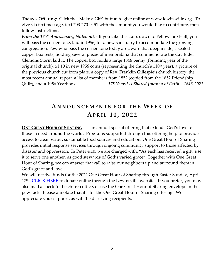**Today's Offering**: Click the "Make a Gift" button to give online at www.lewinsville.org. To give via text message, text 703-270-0451 with the amount you would like to contribute, then follow instructions.

*From the 175th Anniversary Notebook -* If you take the stairs down to Fellowship Hall, you will pass the cornerstone, laid in 1956, for a new sanctuary to accommodate the growing congregation. Few who pass the cornerstone today are aware that deep inside, a sealed copper box rests, holding several pieces of memorabilia that commemorate the day Elder Clemons Storm laid it. The copper box holds a large 1846 penny (founding year of the original church), \$1.10 in new 1956 coins (representing the church's 110<sup>th</sup> year), a picture of the previous church cut from plate, a copy of Rev. Franklin Gillespie's church history, the most recent annual report, a list of members from 1852 (copied from the 1852 Friendship Quilt), and a 1956 Yearbook. *175 Years! A Shared Journey of Faith—1846-2021*

## **A N NOUNC E M E NTS FO R THE WEEK O F APRIL 1 0 , 202 2**

**ONE GREAT HOUR OF SHARING** – is an annual special offering that extends God's love to those in need around the world. Programs supported through this offering help to provide access to clean water, sustainable food sources and education. One Great Hour of Sharing provides initial response services through ongoing community support to those affected by disaster and oppression. In Peter 4:10, we are charged with: "As each has received a gift, use it to serve one another, as good stewards of God's varied grace". Together with One Great Hour of Sharing, we can answer that call to raise our neighbors up and surround them in God's grace and love.

We will receive funds for the 2022 One Great Hour of Sharing through Easter Sunday, April  $17<sup>th</sup>$ . [CLICK HERE](https://secure.myvanco.com/YN8C/campaign/C-Z00V) to donate online through the Lewinsville website. If you prefer, you may also mail a check to the church office, or use the One Great Hour of Sharing envelope in the pew rack. Please annotate that it's for the One Great Hour of Sharing offering. We appreciate your support, as will the deserving recipients.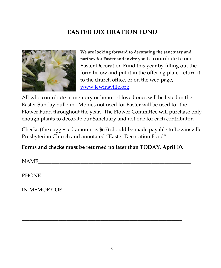# **EASTER DECORATION FUND**



**We are looking forward to decorating the sanctuary and narthex for Easter and invite you** to contribute to our Easter Decoration Fund this year by filling out the form below and put it in the offering plate, return it to the church office, or on the web page, [www.lewinsville.org.](http://www.lewinsville.org/)

All who contribute in memory or honor of loved ones will be listed in the Easter Sunday bulletin. Monies not used for Easter will be used for the Flower Fund throughout the year. The Flower Committee will purchase only enough plants to decorate our Sanctuary and not one for each contributor.

Checks (the suggested amount is \$65) should be made payable to Lewinsville Presbyterian Church and annotated "Easter Decoration Fund".

**Forms and checks must be returned no later than TODAY, April 10.** 

\_\_\_\_\_\_\_\_\_\_\_\_\_\_\_\_\_\_\_\_\_\_\_\_\_\_\_\_\_\_\_\_\_\_\_\_\_\_\_\_\_\_\_\_\_\_\_\_\_\_\_\_\_\_\_\_\_\_\_\_\_

\_\_\_\_\_\_\_\_\_\_\_\_\_\_\_\_\_\_\_\_\_\_\_\_\_\_\_\_\_\_\_\_\_\_\_\_\_\_\_\_\_\_\_\_\_\_\_\_\_\_\_\_\_\_\_\_\_\_\_\_\_

 $NAME$ 

PHONE\_\_\_\_\_\_\_\_\_\_\_\_\_\_\_\_\_\_\_\_\_\_\_\_\_\_\_\_\_\_\_\_\_\_\_\_\_\_\_\_\_\_\_\_\_\_\_\_\_\_\_\_\_\_\_\_\_

IN MEMORY OF